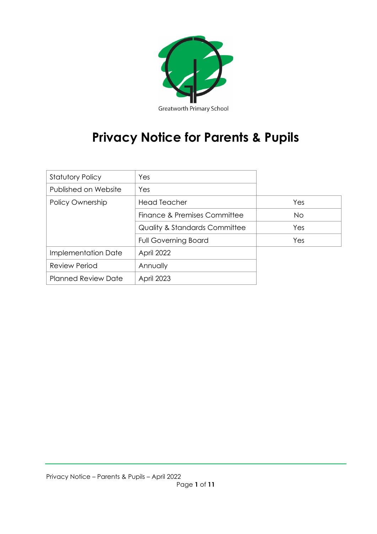

# **Privacy Notice for Parents & Pupils**

| <b>Statutory Policy</b>    | Yes                                      |           |
|----------------------------|------------------------------------------|-----------|
| Published on Website       | Yes                                      |           |
| Policy Ownership           | <b>Head Teacher</b>                      | Yes       |
|                            | Finance & Premises Committee             | <b>No</b> |
|                            | <b>Quality &amp; Standards Committee</b> | Yes       |
|                            | <b>Full Governing Board</b>              | Yes       |
| Implementation Date        | April 2022                               |           |
| <b>Review Period</b>       | Annually                                 |           |
| <b>Planned Review Date</b> | <b>April 2023</b>                        |           |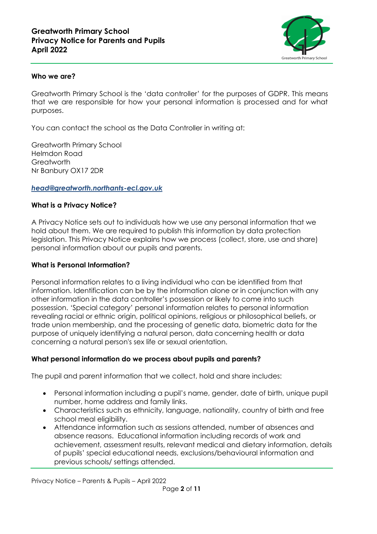

#### **Who we are?**

Greatworth Primary School is the 'data controller' for the purposes of GDPR. This means that we are responsible for how your personal information is processed and for what purposes.

You can contact the school as the Data Controller in writing at:

Greatworth Primary School Helmdon Road **Greatworth** Nr Banbury OX17 2DR

#### *[head@greatworth.northants-ecl.gov.uk](mailto:head@greatworth.northants-ecl.gov.uk)*

#### **What is a Privacy Notice?**

A Privacy Notice sets out to individuals how we use any personal information that we hold about them. We are required to publish this information by data protection legislation. This Privacy Notice explains how we process (collect, store, use and share) personal information about our pupils and parents.

#### **What is Personal Information?**

Personal information relates to a living individual who can be identified from that information. Identification can be by the information alone or in conjunction with any other information in the data controller's possession or likely to come into such possession. 'Special category' personal information relates to personal information revealing racial or ethnic origin, political opinions, religious or philosophical beliefs, or trade union membership, and the processing of genetic data, biometric data for the purpose of uniquely identifying a natural person, data concerning health or data concerning a natural person's sex life or sexual orientation.

#### **What personal information do we process about pupils and parents?**

The pupil and parent information that we collect, hold and share includes:

- Personal information including a pupil's name, gender, date of birth, unique pupil number, home address and family links.
- Characteristics such as ethnicity, language, nationality, country of birth and free school meal eligibility.
- Attendance information such as sessions attended, number of absences and absence reasons. Educational information including records of work and achievement, assessment results, relevant medical and dietary information, details of pupils' special educational needs, exclusions/behavioural information and previous schools/ settings attended.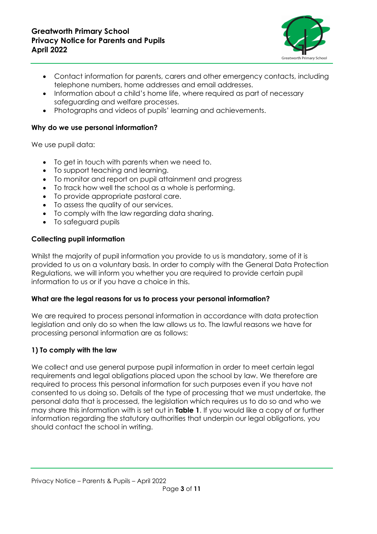

- Contact information for parents, carers and other emergency contacts, including telephone numbers, home addresses and email addresses.
- Information about a child's home life, where required as part of necessary safeguarding and welfare processes.
- Photographs and videos of pupils' learning and achievements.

#### **Why do we use personal information?**

We use pupil data:

- To get in touch with parents when we need to.
- To support teaching and learning.
- To monitor and report on pupil attainment and progress
- To track how well the school as a whole is performing.
- To provide appropriate pastoral care.
- To assess the quality of our services.
- To comply with the law regarding data sharing.
- To safeguard pupils

### **Collecting pupil information**

Whilst the majority of pupil information you provide to us is mandatory, some of it is provided to us on a voluntary basis. In order to comply with the General Data Protection Regulations, we will inform you whether you are required to provide certain pupil information to us or if you have a choice in this.

#### **What are the legal reasons for us to process your personal information?**

We are required to process personal information in accordance with data protection legislation and only do so when the law allows us to. The lawful reasons we have for processing personal information are as follows:

#### **1) To comply with the law**

We collect and use general purpose pupil information in order to meet certain legal requirements and legal obligations placed upon the school by law. We therefore are required to process this personal information for such purposes even if you have not consented to us doing so. Details of the type of processing that we must undertake, the personal data that is processed, the legislation which requires us to do so and who we may share this information with is set out in **Table 1**. If you would like a copy of or further information regarding the statutory authorities that underpin our legal obligations, you should contact the school in writing.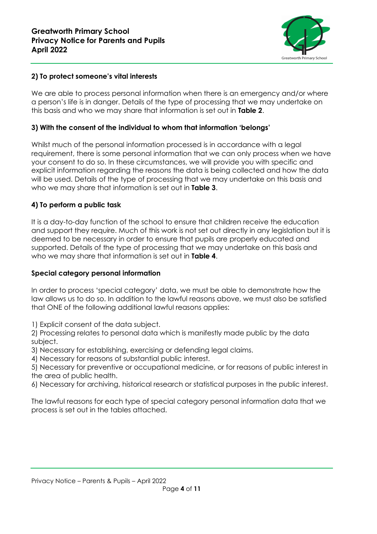

#### **2) To protect someone's vital interests**

We are able to process personal information when there is an emergency and/or where a person's life is in danger. Details of the type of processing that we may undertake on this basis and who we may share that information is set out in **Table 2**.

#### **3) With the consent of the individual to whom that information 'belongs'**

Whilst much of the personal information processed is in accordance with a legal requirement, there is some personal information that we can only process when we have your consent to do so. In these circumstances, we will provide you with specific and explicit information regarding the reasons the data is being collected and how the data will be used. Details of the type of processing that we may undertake on this basis and who we may share that information is set out in **Table 3**.

#### **4) To perform a public task**

It is a day-to-day function of the school to ensure that children receive the education and support they require. Much of this work is not set out directly in any legislation but it is deemed to be necessary in order to ensure that pupils are properly educated and supported. Details of the type of processing that we may undertake on this basis and who we may share that information is set out in **Table 4**.

#### **Special category personal information**

In order to process 'special category' data, we must be able to demonstrate how the law allows us to do so. In addition to the lawful reasons above, we must also be satisfied that ONE of the following additional lawful reasons applies:

1) Explicit consent of the data subject.

2) Processing relates to personal data which is manifestly made public by the data subject.

3) Necessary for establishing, exercising or defending legal claims.

4) Necessary for reasons of substantial public interest.

5) Necessary for preventive or occupational medicine, or for reasons of public interest in the area of public health.

6) Necessary for archiving, historical research or statistical purposes in the public interest.

The lawful reasons for each type of special category personal information data that we process is set out in the tables attached.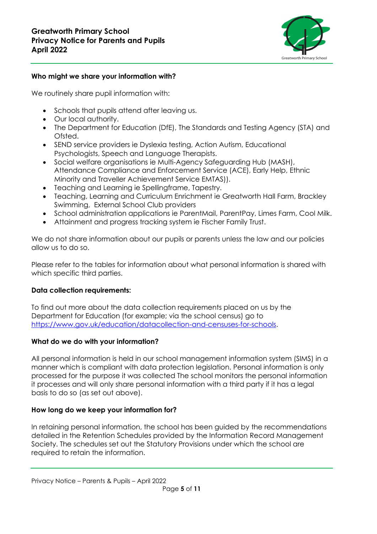

#### **Who might we share your information with?**

We routinely share pupil information with:

- Schools that pupils attend after leaving us.
- Our local authority.
- The Department for Education (DfE), The Standards and Testing Agency (STA) and Ofsted.
- SEND service providers ie Dyslexia testing, Action Autism, Educational Psychologists, Speech and Language Therapists.
- Social welfare organisations ie Multi-Agency Safeguarding Hub (MASH), Attendance Compliance and Enforcement Service (ACE), Early Help, Ethnic Minority and Traveller Achievement Service EMTAS)).
- Teaching and Learning ie Spellingframe, Tapestry.
- Teaching, Learning and Curriculum Enrichment ie Greatworth Hall Farm, Brackley Swimming, External School Club providers
- School administration applications ie ParentMail, ParentPay, Limes Farm, Cool Milk.
- Attainment and progress tracking system ie Fischer Family Trust.

We do not share information about our pupils or parents unless the law and our policies allow us to do so.

Please refer to the tables for information about what personal information is shared with which specific third parties.

#### **Data collection requirements:**

To find out more about the data collection requirements placed on us by the Department for Education (for example; via the school census) go to [https://www.gov.uk/education/datacollection-and-censuses-for-schools.](https://www.gov.uk/education/datacollection-and-censuses-for-schools)

#### **What do we do with your information?**

All personal information is held in our school management information system (SIMS) in a manner which is compliant with data protection legislation. Personal information is only processed for the purpose it was collected The school monitors the personal information it processes and will only share personal information with a third party if it has a legal basis to do so (as set out above).

# **How long do we keep your information for?**

In retaining personal information, the school has been guided by the recommendations detailed in the Retention Schedules provided by the Information Record Management Society. The schedules set out the Statutory Provisions under which the school are required to retain the information.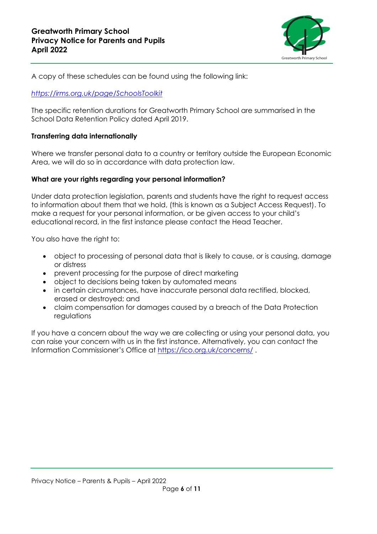

A copy of these schedules can be found using the following link:

#### *<https://irms.org.uk/page/SchoolsToolkit>*

The specific retention durations for Greatworth Primary School are summarised in the School Data Retention Policy dated April 2019.

#### **Transferring data internationally**

Where we transfer personal data to a country or territory outside the European Economic Area, we will do so in accordance with data protection law.

#### **What are your rights regarding your personal information?**

Under data protection legislation, parents and students have the right to request access to information about them that we hold, (this is known as a Subject Access Request). To make a request for your personal information, or be given access to your child's educational record, in the first instance please contact the Head Teacher.

You also have the right to:

- object to processing of personal data that is likely to cause, or is causing, damage or distress
- prevent processing for the purpose of direct marketing
- object to decisions being taken by automated means
- in certain circumstances, have inaccurate personal data rectified, blocked, erased or destroyed; and
- claim compensation for damages caused by a breach of the Data Protection regulations

If you have a concern about the way we are collecting or using your personal data, you can raise your concern with us in the first instance. Alternatively, you can contact the Information Commissioner's Office at <https://ico.org.uk/concerns/>.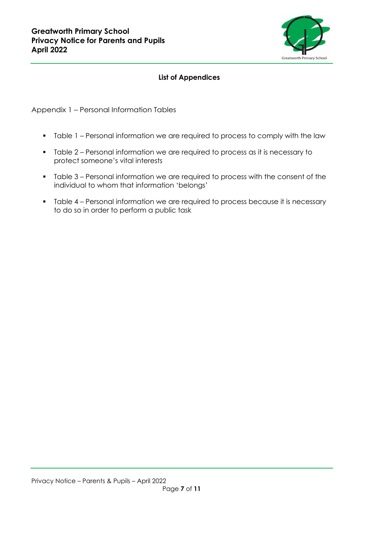

## **List of Appendices**

Appendix 1 – Personal Information Tables

- Table 1 Personal information we are required to process to comply with the law
- Table 2 Personal information we are required to process as it is necessary to protect someone's vital interests
- Table 3 Personal information we are required to process with the consent of the individual to whom that information 'belongs'
- Table 4 Personal information we are required to process because it is necessary to do so in order to perform a public task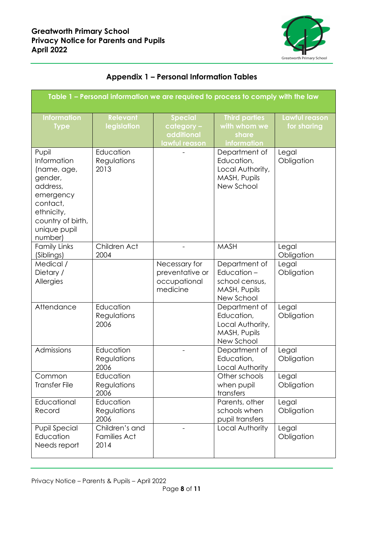

| Table 1 – Personal information we are required to process to comply with the law                                                                         |                                               |                                                              |                                                                               |                              |
|----------------------------------------------------------------------------------------------------------------------------------------------------------|-----------------------------------------------|--------------------------------------------------------------|-------------------------------------------------------------------------------|------------------------------|
| <b>Information</b><br><b>Type</b>                                                                                                                        | <b>Relevant</b><br>legislation                | <b>Special</b><br>category -<br>additional<br>lawful reason  | <b>Third parties</b><br>with whom we<br>share<br>information                  | Lawful reason<br>for sharing |
| Pupil<br><b>Information</b><br>(name, age,<br>gender,<br>address,<br>emergency<br>contact,<br>ethnicity,<br>country of birth,<br>unique pupil<br>number) | Education<br>Regulations<br>2013              |                                                              | Department of<br>Education,<br>Local Authority,<br>MASH, Pupils<br>New School | Legal<br>Obligation          |
| <b>Family Links</b><br>(Siblings)                                                                                                                        | Children Act<br>2004                          |                                                              | <b>MASH</b>                                                                   | Legal<br>Obligation          |
| Medical /<br>Dietary /<br>Allergies                                                                                                                      |                                               | Necessary for<br>preventative or<br>occupational<br>medicine | Department of<br>Education-<br>school census,<br>MASH, Pupils<br>New School   | Legal<br>Obligation          |
| Attendance                                                                                                                                               | Education<br>Regulations<br>2006              |                                                              | Department of<br>Education,<br>Local Authority,<br>MASH, Pupils<br>New School | Legal<br>Obligation          |
| Admissions                                                                                                                                               | Education<br>Regulations<br>2006              |                                                              | Department of<br>Education,<br>Local Authority                                | Legal<br>Obligation          |
| Common<br><b>Transfer File</b>                                                                                                                           | Education<br>Regulations<br>2006              |                                                              | Other schools<br>when pupil<br>transfers                                      | Legal<br>Obligation          |
| Educational<br>Record                                                                                                                                    | Education<br>Regulations<br>2006              |                                                              | Parents, other<br>schools when<br>pupil transfers                             | Legal<br>Obligation          |
| <b>Pupil Special</b><br>Education<br>Needs report                                                                                                        | Children's and<br><b>Families Act</b><br>2014 |                                                              | Local Authority                                                               | Legal<br>Obligation          |

# **Appendix 1 – Personal Information Tables**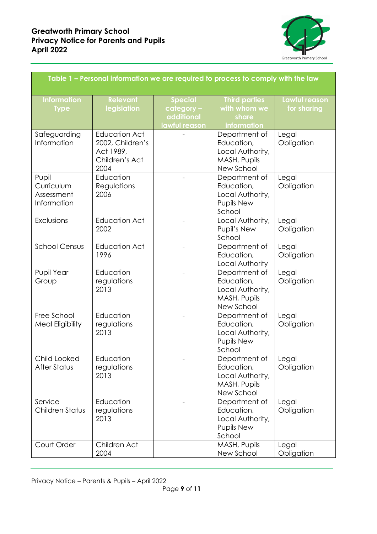

| Table 1 – Personal information we are required to process to comply with the law |                                                                                 |                                                             |                                                                                |                                          |
|----------------------------------------------------------------------------------|---------------------------------------------------------------------------------|-------------------------------------------------------------|--------------------------------------------------------------------------------|------------------------------------------|
| <b>Information</b><br><b>Type</b>                                                | <b>Relevant</b><br>legislation                                                  | <b>Special</b><br>category -<br>additional<br>lawful reason | <b>Third parties</b><br>with whom we<br>share<br>information                   | Lawful reason<br>for sharing             |
| Safeguarding<br>Information                                                      | <b>Education Act</b><br>2002, Children's<br>Act 1989,<br>Children's Act<br>2004 |                                                             | Department of<br>Education,<br>Local Authority,<br>MASH, Pupils<br>New School  | Legal<br>Obligation                      |
| Pupil<br>Curriculum<br>Assessment<br>Information                                 | Education<br>Regulations<br>2006                                                |                                                             | Department of<br>Education,<br>Local Authority,<br><b>Pupils New</b><br>School | Legal<br>Obligation                      |
| Exclusions                                                                       | <b>Education Act</b><br>2002                                                    |                                                             | Local Authority,<br>Pupil's New<br>School                                      | Legal<br>Obligation                      |
| <b>School Census</b>                                                             | <b>Education Act</b><br>1996                                                    |                                                             | Department of<br>Education,<br>Local Authority                                 | Legal<br>Obligation                      |
| Pupil Year<br>Group                                                              | Education<br>regulations<br>2013                                                | $\overline{\phantom{0}}$                                    | Department of<br>Education,<br>Local Authority,<br>MASH, Pupils<br>New School  | Legal<br>Obligation                      |
| Free School<br><b>Meal Eligibility</b>                                           | Education<br>regulations<br>2013                                                |                                                             | Department of<br>Education,<br>Local Authority,<br>Pupils New<br>School        | Legal<br>Obligation                      |
| Child Looked<br>After Status                                                     | Education<br>regulations<br>2013                                                |                                                             | Department of<br>Education,<br>Local Authority,<br>MASH, Pupils<br>New School  | $\sqrt{\phantom{a}}$ Legal<br>Obligation |
| Service<br>Children Status                                                       | Education<br>regulations<br>2013                                                |                                                             | Department of<br>Education,<br>Local Authority,<br><b>Pupils New</b><br>School | Legal<br>Obligation                      |
| Court Order                                                                      | Children Act<br>2004                                                            |                                                             | MASH, Pupils<br>New School                                                     | Legal<br>Obligation                      |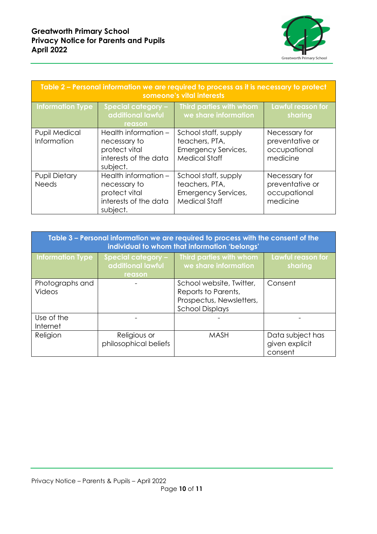

| Table 2 - Personal information we are required to process as it is necessary to protect<br>someone's vital interests |                                                                                            |                                                                                              |                                                              |  |
|----------------------------------------------------------------------------------------------------------------------|--------------------------------------------------------------------------------------------|----------------------------------------------------------------------------------------------|--------------------------------------------------------------|--|
| Information Type                                                                                                     | <b>Special category -</b><br>additional lawful<br>reason                                   | Third parties with whom<br>we share information                                              | Lawful reason for<br>sharing                                 |  |
| <b>Pupil Medical</b><br>Information                                                                                  | Health information -<br>necessary to<br>protect vital<br>interests of the data<br>subject. | School staff, supply<br>teachers, PTA,<br><b>Emergency Services,</b><br><b>Medical Staff</b> | Necessary for<br>preventative or<br>occupational<br>medicine |  |
| <b>Pupil Dietary</b><br><b>Needs</b>                                                                                 | Health information -<br>necessary to<br>protect vital<br>interests of the data<br>subject. | School staff, supply<br>teachers, PTA,<br>Emergency Services,<br><b>Medical Staff</b>        | Necessary for<br>preventative or<br>occupational<br>medicine |  |

| Table 3 – Personal information we are required to process with the consent of the<br>individual to whom that information 'belongs' |                                                          |                                                                                                       |                                               |  |
|------------------------------------------------------------------------------------------------------------------------------------|----------------------------------------------------------|-------------------------------------------------------------------------------------------------------|-----------------------------------------------|--|
| <b>Information Type</b>                                                                                                            | <b>Special category -</b><br>additional lawful<br>reason | Third parties with whom<br>we share information                                                       | Lawful reason for<br>sharing                  |  |
| Photographs and<br><b>Videos</b>                                                                                                   |                                                          | School website, Twitter,<br>Reports to Parents,<br>Prospectus, Newsletters,<br><b>School Displays</b> | Consent                                       |  |
| Use of the<br>Internet                                                                                                             |                                                          |                                                                                                       |                                               |  |
| Religion                                                                                                                           | Religious or<br>philosophical beliefs                    | <b>MASH</b>                                                                                           | Data subject has<br>given explicit<br>consent |  |